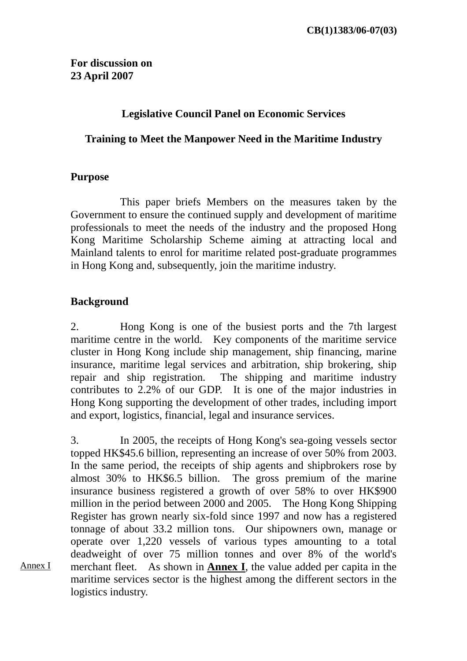#### **Legislative Council Panel on Economic Services**

#### **Training to Meet the Manpower Need in the Maritime Industry**

#### **Purpose**

 This paper briefs Members on the measures taken by the Government to ensure the continued supply and development of maritime professionals to meet the needs of the industry and the proposed Hong Kong Maritime Scholarship Scheme aiming at attracting local and Mainland talents to enrol for maritime related post-graduate programmes in Hong Kong and, subsequently, join the maritime industry.

#### **Background**

Annex I

2. Hong Kong is one of the busiest ports and the 7th largest maritime centre in the world. Key components of the maritime service cluster in Hong Kong include ship management, ship financing, marine insurance, maritime legal services and arbitration, ship brokering, ship repair and ship registration. The shipping and maritime industry contributes to 2.2% of our GDP. It is one of the major industries in Hong Kong supporting the development of other trades, including import and export, logistics, financial, legal and insurance services.

3. In 2005, the receipts of Hong Kong's sea-going vessels sector topped HK\$45.6 billion, representing an increase of over 50% from 2003. In the same period, the receipts of ship agents and shipbrokers rose by almost 30% to HK\$6.5 billion. The gross premium of the marine insurance business registered a growth of over 58% to over HK\$900 million in the period between 2000 and 2005. The Hong Kong Shipping Register has grown nearly six-fold since 1997 and now has a registered tonnage of about 33.2 million tons. Our shipowners own, manage or operate over 1,220 vessels of various types amounting to a total deadweight of over 75 million tonnes and over 8% of the world's merchant fleet. As shown in **Annex I**, the value added per capita in the maritime services sector is the highest among the different sectors in the logistics industry.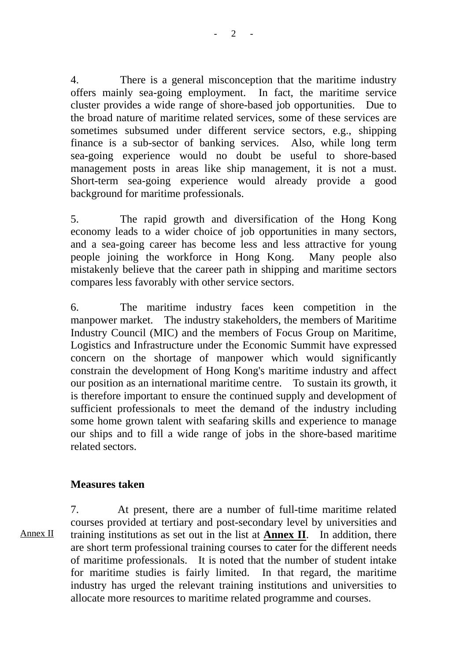4. There is a general misconception that the maritime industry offers mainly sea-going employment. In fact, the maritime service cluster provides a wide range of shore-based job opportunities. Due to the broad nature of maritime related services, some of these services are sometimes subsumed under different service sectors, e.g., shipping finance is a sub-sector of banking services. Also, while long term sea-going experience would no doubt be useful to shore-based management posts in areas like ship management, it is not a must. Short-term sea-going experience would already provide a good background for maritime professionals.

5. The rapid growth and diversification of the Hong Kong economy leads to a wider choice of job opportunities in many sectors, and a sea-going career has become less and less attractive for young people joining the workforce in Hong Kong. Many people also mistakenly believe that the career path in shipping and maritime sectors compares less favorably with other service sectors.

6. The maritime industry faces keen competition in the manpower market. The industry stakeholders, the members of Maritime Industry Council (MIC) and the members of Focus Group on Maritime, Logistics and Infrastructure under the Economic Summit have expressed concern on the shortage of manpower which would significantly constrain the development of Hong Kong's maritime industry and affect our position as an international maritime centre. To sustain its growth, it is therefore important to ensure the continued supply and development of sufficient professionals to meet the demand of the industry including some home grown talent with seafaring skills and experience to manage our ships and to fill a wide range of jobs in the shore-based maritime related sectors.

#### **Measures taken**

Annex II

7. At present, there are a number of full-time maritime related courses provided at tertiary and post-secondary level by universities and training institutions as set out in the list at **Annex II**. In addition, there are short term professional training courses to cater for the different needs of maritime professionals. It is noted that the number of student intake for maritime studies is fairly limited. In that regard, the maritime industry has urged the relevant training institutions and universities to allocate more resources to maritime related programme and courses.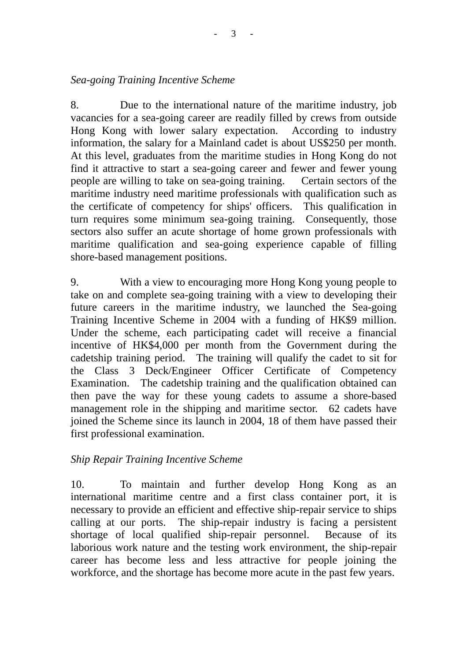*Sea-going Training Incentive Scheme* 

8. Due to the international nature of the maritime industry, job vacancies for a sea-going career are readily filled by crews from outside Hong Kong with lower salary expectation. According to industry information, the salary for a Mainland cadet is about US\$250 per month. At this level, graduates from the maritime studies in Hong Kong do not find it attractive to start a sea-going career and fewer and fewer young people are willing to take on sea-going training. Certain sectors of the maritime industry need maritime professionals with qualification such as the certificate of competency for ships' officers. This qualification in turn requires some minimum sea-going training. Consequently, those sectors also suffer an acute shortage of home grown professionals with maritime qualification and sea-going experience capable of filling shore-based management positions.

9. With a view to encouraging more Hong Kong young people to take on and complete sea-going training with a view to developing their future careers in the maritime industry, we launched the Sea-going Training Incentive Scheme in 2004 with a funding of HK\$9 million. Under the scheme, each participating cadet will receive a financial incentive of HK\$4,000 per month from the Government during the cadetship training period. The training will qualify the cadet to sit for the Class 3 Deck/Engineer Officer Certificate of Competency Examination. The cadetship training and the qualification obtained can then pave the way for these young cadets to assume a shore-based management role in the shipping and maritime sector. 62 cadets have joined the Scheme since its launch in 2004, 18 of them have passed their first professional examination.

#### *Ship Repair Training Incentive Scheme*

10. To maintain and further develop Hong Kong as an international maritime centre and a first class container port, it is necessary to provide an efficient and effective ship-repair service to ships calling at our ports. The ship-repair industry is facing a persistent shortage of local qualified ship-repair personnel. Because of its laborious work nature and the testing work environment, the ship-repair career has become less and less attractive for people joining the workforce, and the shortage has become more acute in the past few years.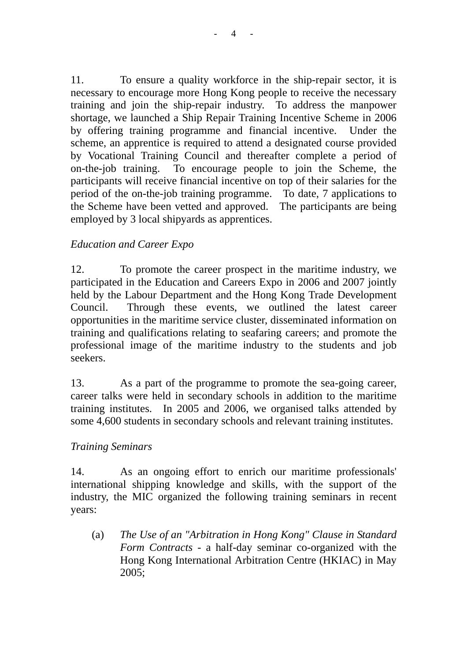11. To ensure a quality workforce in the ship-repair sector, it is necessary to encourage more Hong Kong people to receive the necessary training and join the ship-repair industry. To address the manpower shortage, we launched a Ship Repair Training Incentive Scheme in 2006 by offering training programme and financial incentive. Under the scheme, an apprentice is required to attend a designated course provided by Vocational Training Council and thereafter complete a period of on-the-job training. To encourage people to join the Scheme, the participants will receive financial incentive on top of their salaries for the period of the on-the-job training programme. To date, 7 applications to the Scheme have been vetted and approved. The participants are being employed by 3 local shipyards as apprentices.

## *Education and Career Expo*

12. To promote the career prospect in the maritime industry, we participated in the Education and Careers Expo in 2006 and 2007 jointly held by the Labour Department and the Hong Kong Trade Development Council. Through these events, we outlined the latest career opportunities in the maritime service cluster, disseminated information on training and qualifications relating to seafaring careers; and promote the professional image of the maritime industry to the students and job seekers.

13. As a part of the programme to promote the sea-going career, career talks were held in secondary schools in addition to the maritime training institutes. In 2005 and 2006, we organised talks attended by some 4,600 students in secondary schools and relevant training institutes.

#### *Training Seminars*

14. As an ongoing effort to enrich our maritime professionals' international shipping knowledge and skills, with the support of the industry, the MIC organized the following training seminars in recent years:

(a) *The Use of an "Arbitration in Hong Kong" Clause in Standard Form Contracts* - a half-day seminar co-organized with the Hong Kong International Arbitration Centre (HKIAC) in May 2005;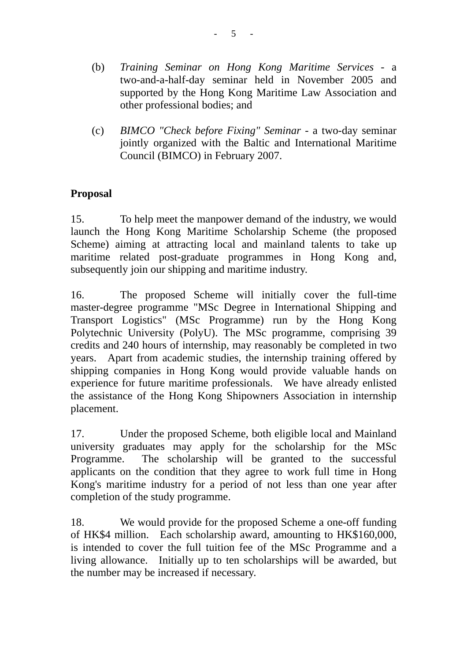- (b) *Training Seminar on Hong Kong Maritime Services* a two-and-a-half-day seminar held in November 2005 and supported by the Hong Kong Maritime Law Association and other professional bodies; and
- (c) *BIMCO "Check before Fixing" Seminar*  a two-day seminar jointly organized with the Baltic and International Maritime Council (BIMCO) in February 2007.

# **Proposal**

15. To help meet the manpower demand of the industry, we would launch the Hong Kong Maritime Scholarship Scheme (the proposed Scheme) aiming at attracting local and mainland talents to take up maritime related post-graduate programmes in Hong Kong and, subsequently join our shipping and maritime industry.

16. The proposed Scheme will initially cover the full-time master-degree programme "MSc Degree in International Shipping and Transport Logistics" (MSc Programme) run by the Hong Kong Polytechnic University (PolyU). The MSc programme, comprising 39 credits and 240 hours of internship, may reasonably be completed in two years. Apart from academic studies, the internship training offered by shipping companies in Hong Kong would provide valuable hands on experience for future maritime professionals. We have already enlisted the assistance of the Hong Kong Shipowners Association in internship placement.

17. Under the proposed Scheme, both eligible local and Mainland university graduates may apply for the scholarship for the MSc Programme. The scholarship will be granted to the successful applicants on the condition that they agree to work full time in Hong Kong's maritime industry for a period of not less than one year after completion of the study programme.

18. We would provide for the proposed Scheme a one-off funding of HK\$4 million. Each scholarship award, amounting to HK\$160,000, is intended to cover the full tuition fee of the MSc Programme and a living allowance. Initially up to ten scholarships will be awarded, but the number may be increased if necessary.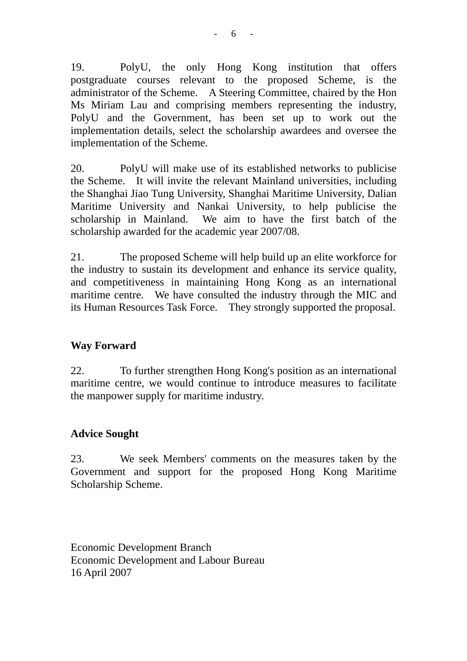19. PolyU, the only Hong Kong institution that offers postgraduate courses relevant to the proposed Scheme, is the administrator of the Scheme. A Steering Committee, chaired by the Hon Ms Miriam Lau and comprising members representing the industry, PolyU and the Government, has been set up to work out the implementation details, select the scholarship awardees and oversee the implementation of the Scheme.

20. PolyU will make use of its established networks to publicise the Scheme. It will invite the relevant Mainland universities, including the Shanghai Jiao Tung University, Shanghai Maritime University, Dalian Maritime University and Nankai University, to help publicise the scholarship in Mainland. We aim to have the first batch of the scholarship awarded for the academic year 2007/08.

21. The proposed Scheme will help build up an elite workforce for the industry to sustain its development and enhance its service quality, and competitiveness in maintaining Hong Kong as an international maritime centre. We have consulted the industry through the MIC and its Human Resources Task Force. They strongly supported the proposal.

## **Way Forward**

22. To further strengthen Hong Kong's position as an international maritime centre, we would continue to introduce measures to facilitate the manpower supply for maritime industry.

## **Advice Sought**

23. We seek Members' comments on the measures taken by the Government and support for the proposed Hong Kong Maritime Scholarship Scheme.

Economic Development Branch Economic Development and Labour Bureau 16 April 2007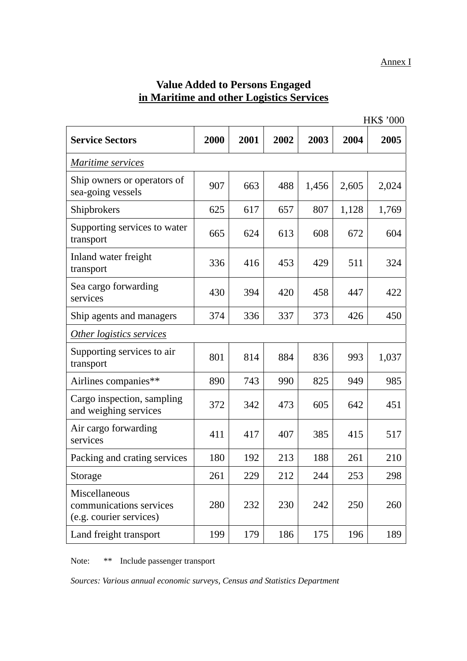# **Value Added to Persons Engaged in Maritime and other Logistics Services**

|                                                                     |      |      |      | <b>HK\$ '000</b> |       |       |  |  |
|---------------------------------------------------------------------|------|------|------|------------------|-------|-------|--|--|
| <b>Service Sectors</b>                                              | 2000 | 2001 | 2002 | 2003             | 2004  | 2005  |  |  |
| Maritime services                                                   |      |      |      |                  |       |       |  |  |
| Ship owners or operators of<br>sea-going vessels                    | 907  | 663  | 488  | 1,456            | 2,605 | 2,024 |  |  |
| Shipbrokers                                                         | 625  | 617  | 657  | 807              | 1,128 | 1,769 |  |  |
| Supporting services to water<br>transport                           | 665  | 624  | 613  | 608              | 672   | 604   |  |  |
| Inland water freight<br>transport                                   | 336  | 416  | 453  | 429              | 511   | 324   |  |  |
| Sea cargo forwarding<br>services                                    | 430  | 394  | 420  | 458              | 447   | 422   |  |  |
| Ship agents and managers                                            | 374  | 336  | 337  | 373              | 426   | 450   |  |  |
| Other logistics services                                            |      |      |      |                  |       |       |  |  |
| Supporting services to air<br>transport                             | 801  | 814  | 884  | 836              | 993   | 1,037 |  |  |
| Airlines companies**                                                | 890  | 743  | 990  | 825              | 949   | 985   |  |  |
| Cargo inspection, sampling<br>and weighing services                 | 372  | 342  | 473  | 605              | 642   | 451   |  |  |
| Air cargo forwarding<br>services                                    | 411  | 417  | 407  | 385              | 415   | 517   |  |  |
| Packing and crating services                                        | 180  | 192  | 213  | 188              | 261   | 210   |  |  |
| Storage                                                             | 261  | 229  | 212  | 244              | 253   | 298   |  |  |
| Miscellaneous<br>communications services<br>(e.g. courier services) | 280  | 232  | 230  | 242              | 250   | 260   |  |  |
| Land freight transport                                              | 199  | 179  | 186  | 175              | 196   | 189   |  |  |

Note: \*\* Include passenger transport

*Sources: Various annual economic surveys, Census and Statistics Department*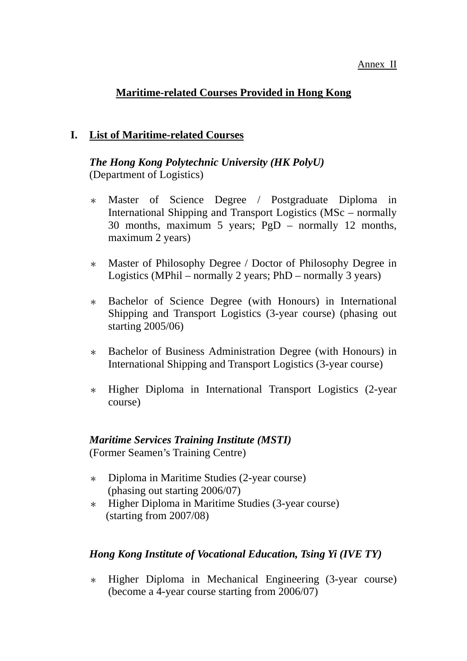#### Annex II

# **Maritime-related Courses Provided in Hong Kong**

#### **I. List of Maritime-related Courses**

#### *The Hong Kong Polytechnic University (HK PolyU)*  (Department of Logistics)

- \* Master of Science Degree / Postgraduate Diploma in International Shipping and Transport Logistics (MSc – normally 30 months, maximum 5 years; PgD – normally 12 months, maximum 2 years)
- \* Master of Philosophy Degree / Doctor of Philosophy Degree in Logistics (MPhil – normally 2 years; PhD – normally 3 years)
- \* Bachelor of Science Degree (with Honours) in International Shipping and Transport Logistics (3-year course) (phasing out starting 2005/06)
- \* Bachelor of Business Administration Degree (with Honours) in International Shipping and Transport Logistics (3-year course)
- \* Higher Diploma in International Transport Logistics (2-year course)

# *Maritime Services Training Institute (MSTI)*

(Former Seamen's Training Centre)

- \* Diploma in Maritime Studies (2-year course) (phasing out starting 2006/07)
- \* Higher Diploma in Maritime Studies (3-year course) (starting from 2007/08)

## *Hong Kong Institute of Vocational Education, Tsing Yi (IVE TY)*

\* Higher Diploma in Mechanical Engineering (3-year course) (become a 4-year course starting from 2006/07)